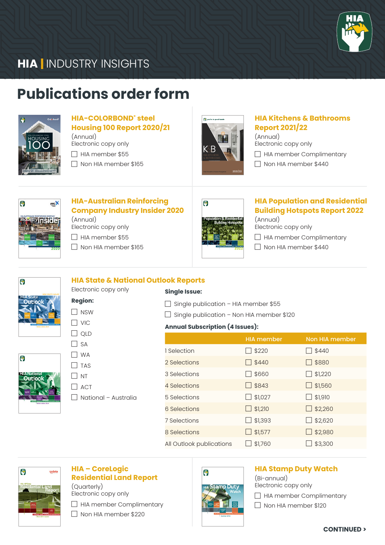

## **HIA** INDUSTRY INSIGHTS

## **Publications order form HIA** INDUSTRY INDUSTRY IN **HURRY INDUSTRY INST**



## **HIA-COLORBOND® steel HIA-COLORBOND Steel**<br> **Housing 100 Report 2020/21**

(Annual)

- $\Box$  HIA member \$55
- $\Box$  Non HIA member \$165



## **HIA Kitchens & Bathrooms Report 2021/22 HIA**

(Annual) (Armaar)<br>Electronic copy only

**HIA**

 $\Box$  HIA member Complimentary

Non HIA member \$440



## **HIA-Australian Reinforcing Company Industry Insider 2020**

(Annual) Electronic copy only

□ HIA member \$55

**Region:**  $\Box$  NSW  $\Box$  VIC  $\Box$  QLD  $\Box$  SA  $\Box$  WA  $\Box$  TAS  $\Box$  NT  $\Box$  ACT

 $\Box$  Non HIA member \$165



### **HIA Population and Residential Building Hotspots Report 2022**

(Annual) Electronic copy only

 $\Box$  HIA member Complimentary

Non HIA member \$440

| G                                  |  |
|------------------------------------|--|
| <b>HIA</b> State<br><b>Outlook</b> |  |
|                                    |  |

 $\bullet$ 

#### **HIA State & National Outlook Reports** Electronic copy only

**Single Issue:**

 $\Box$  Single publication – HIA member \$55

 $\Box$  Single publication – Non HIA member \$120

#### **Annual Subscription (4 Issues):**

|                          | <b>HIA member</b> | Non HIA member |
|--------------------------|-------------------|----------------|
| 1 Selection              | \$220             | \$440          |
| 2 Selections             | \$440             | $\Box$ \$880   |
| 3 Selections             | \$660             | \$1,220        |
| 4 Selections             | \$843             | \$1,560        |
| 5 Selections             | \$1,027           | \$1,910        |
| 6 Selections             | $\Box$ \$1,210    | \$2,260        |
| 7 Selections             | \$1,393           | \$2,620        |
| 8 Selections             | \$1,577           | \$2,980        |
| All Outlook publications | \$1,760           | \$3,300        |



## **HIA – CoreLogic Residential Land Report**

 $\Box$  National – Australia

(Quarterly) Electronic copy only  $\Box$  HIA member Complimentary

Non HIA member \$220



#### **HIA Stamp Duty Watch** (Bi-annual)

Electronic copy only

 $\Box$  HIA member Complimentary

 $\Box$  Non HIA member \$120

**CONTINUED >**